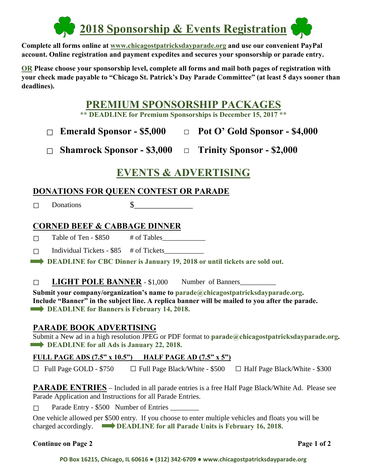

**Complete all forms online at www.chicagostpatricksdayparade.org and use our convenient PayPal account. Online registration and payment expedites and secures your sponsorship or parade entry.** 

**OR Please choose your sponsorship level, complete all forms and mail both pages of registration with your check made payable to "Chicago St. Patrick's Day Parade Committee" (at least 5 days sooner than deadlines).** 

# **PREMIUM SPONSORSHIP PACKAGES**

**\*\* DEADLINE for Premium Sponsorships is December 15, 2017 \*\***

## **□ Emerald Sponsor - \$5,000 □ Pot O' Gold Sponsor - \$4,000**

**□ Shamrock Sponsor - \$3,000 □ Trinity Sponsor - \$2,000**

# **EVENTS & ADVERTISING**

## **DONATIONS FOR QUEEN CONTEST OR PARADE**

□ Donations \$\_\_\_\_\_\_\_\_\_\_\_\_\_\_

#### **CORNED BEEF & CABBAGE DINNER**

□ Table of Ten - \$850 # of Tables\_\_\_\_\_\_\_\_\_\_\_\_

 $\Box$  Individual Tickets - \$85 # of Tickets

**EXAMPLE FOR CBC Dinner is January 19, 2018 or until tickets are sold out.** 

#### □ **LIGHT POLE BANNER** - \$1,000 Number of Banners\_\_\_\_\_\_\_\_\_\_

**Submit your company/organization's name to parade@chicagostpatricksdayparade.org. Include "Banner" in the subject line. A replica banner will be mailed to you after the parade. DEADLINE for Banners is February 14, 2018.** 

### **PARADE BOOK ADVERTISING**

Submit a New ad in a high resolution JPEG or PDF format to **parade@chicagostpatricksdayparade.org. DEADLINE for all Ads is January 22, 2018.** 

#### **FULL PAGE ADS (7.5" x 10.5") HALF PAGE AD (7.5" x 5")**

 $\Box$  Full Page GOLD - \$750  $\Box$  Full Page Black/White - \$500  $\Box$  Half Page Black/White - \$300

**PARADE ENTRIES** – Included in all parade entries is a free Half Page Black/White Ad. Please see Parade Application and Instructions for all Parade Entries.

 $\Box$  Parade Entry - \$500 Number of Entries  $\Box$ 

One vehicle allowed per \$500 entry. If you choose to enter multiple vehicles and floats you will be charged accordingly. **DEADLINE for all Parade Units is February 16, 2018.** 

#### **Continue on Page 2** Page 1 of 2

**PO Box 16215, Chicago, IL 60616 ● (312) 342‐6709 ● www.chicagostpatricksdayparade.org**